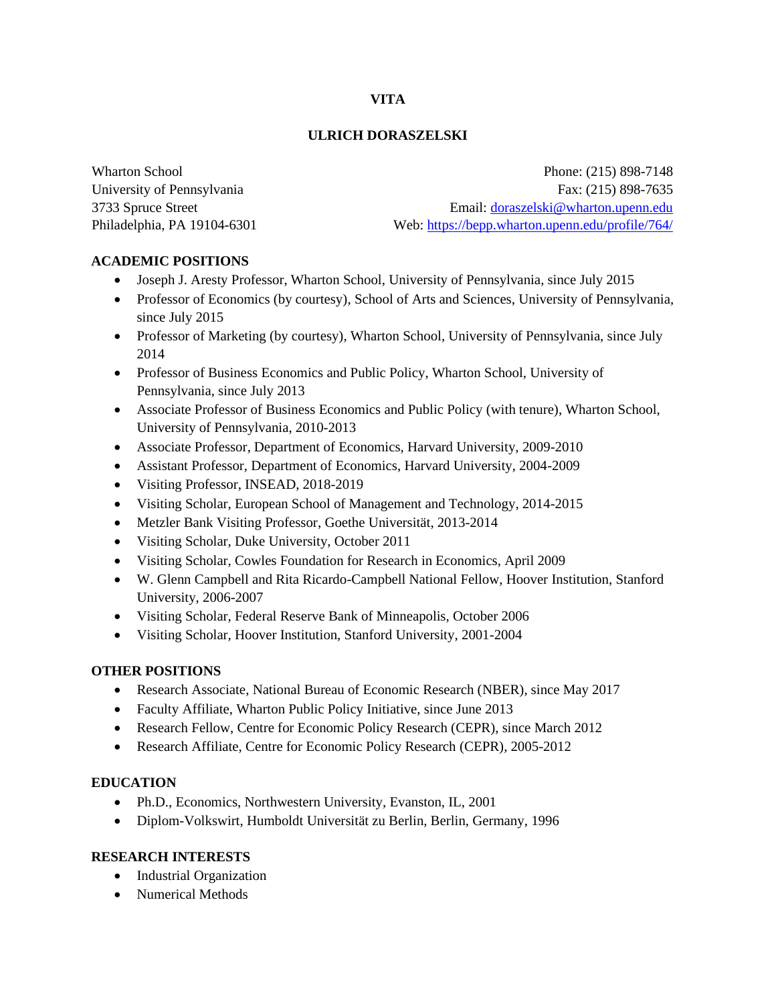## **VITA**

### **ULRICH DORASZELSKI**

Wharton School **Phone:** (215) 898-7148 University of Pennsylvania Fax: (215) 898-7635 3733 Spruce Street Email: [doraszelski@wharton.upenn.edu](mailto:doraszelski@wharton.upenn.edu) Philadelphia, PA 19104-6301 Web: <https://bepp.wharton.upenn.edu/profile/764/>

### **ACADEMIC POSITIONS**

- Joseph J. Aresty Professor, Wharton School, University of Pennsylvania, since July 2015
- Professor of Economics (by courtesy), School of Arts and Sciences, University of Pennsylvania, since July 2015
- Professor of Marketing (by courtesy), Wharton School, University of Pennsylvania, since July 2014
- Professor of Business Economics and Public Policy, Wharton School, University of Pennsylvania, since July 2013
- Associate Professor of Business Economics and Public Policy (with tenure), Wharton School, University of Pennsylvania, 2010-2013
- Associate Professor, Department of Economics, Harvard University, 2009-2010
- Assistant Professor, Department of Economics, Harvard University, 2004-2009
- Visiting Professor, INSEAD, 2018-2019
- Visiting Scholar, European School of Management and Technology, 2014-2015
- Metzler Bank Visiting Professor, Goethe Universität, 2013-2014
- Visiting Scholar, Duke University, October 2011
- Visiting Scholar, Cowles Foundation for Research in Economics, April 2009
- W. Glenn Campbell and Rita Ricardo-Campbell National Fellow, Hoover Institution, Stanford University, 2006-2007
- Visiting Scholar, Federal Reserve Bank of Minneapolis, October 2006
- Visiting Scholar, Hoover Institution, Stanford University, 2001-2004

### **OTHER POSITIONS**

- Research Associate, National Bureau of Economic Research (NBER), since May 2017
- Faculty Affiliate, Wharton Public Policy Initiative, since June 2013
- Research Fellow, Centre for Economic Policy Research (CEPR), since March 2012
- Research Affiliate, Centre for Economic Policy Research (CEPR), 2005-2012

### **EDUCATION**

- Ph.D., Economics, Northwestern University, Evanston, IL, 2001
- Diplom-Volkswirt, Humboldt Universität zu Berlin, Berlin, Germany, 1996

### **RESEARCH INTERESTS**

- Industrial Organization
- Numerical Methods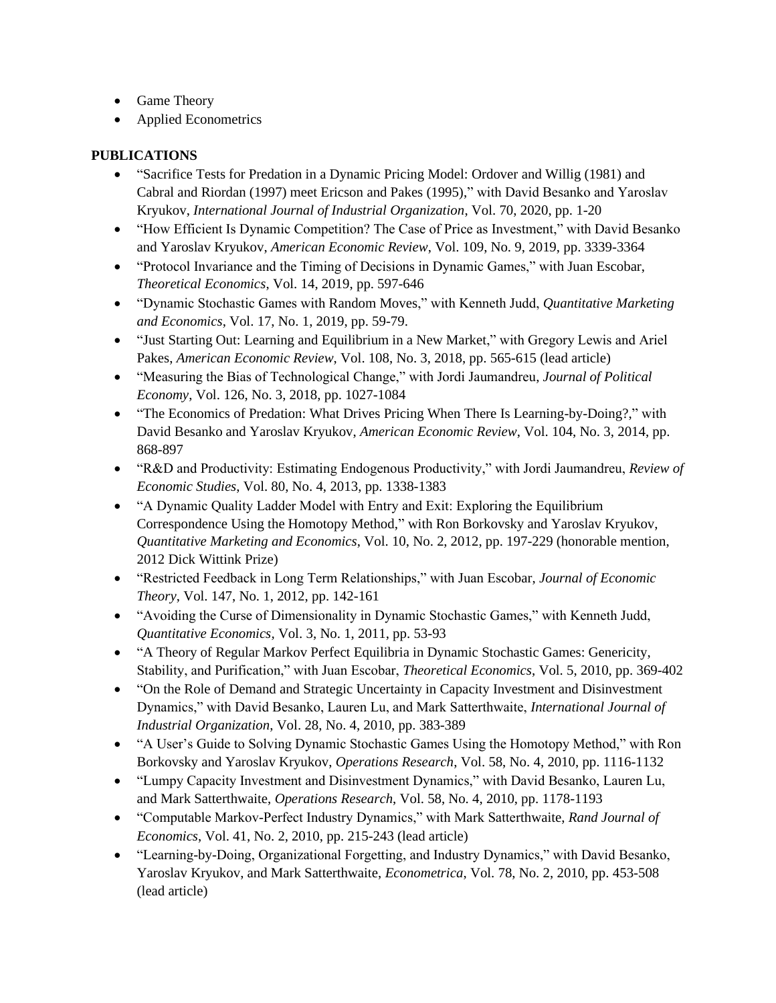- Game Theory
- Applied Econometrics

## **PUBLICATIONS**

- "Sacrifice Tests for Predation in a Dynamic Pricing Model: Ordover and Willig (1981) and Cabral and Riordan (1997) meet Ericson and Pakes (1995)," with David Besanko and Yaroslav Kryukov, *International Journal of Industrial Organization*, Vol. 70, 2020, pp. 1-20
- "How Efficient Is Dynamic Competition? The Case of Price as Investment," with David Besanko and Yaroslav Kryukov, *American Economic Review*, Vol. 109, No. 9, 2019, pp. 3339-3364
- "Protocol Invariance and the Timing of Decisions in Dynamic Games," with Juan Escobar, *Theoretical Economics*, Vol. 14, 2019, pp. 597-646
- "Dynamic Stochastic Games with Random Moves," with Kenneth Judd, *Quantitative Marketing and Economics*, Vol. 17, No. 1, 2019, pp. 59-79.
- "Just Starting Out: Learning and Equilibrium in a New Market," with Gregory Lewis and Ariel Pakes, *American Economic Review*, Vol. 108, No. 3, 2018, pp. 565-615 (lead article)
- "Measuring the Bias of Technological Change," with Jordi Jaumandreu, *Journal of Political Economy*, Vol. 126, No. 3, 2018, pp. 1027-1084
- "The Economics of Predation: What Drives Pricing When There Is Learning-by-Doing?," with David Besanko and Yaroslav Kryukov, *American Economic Review*, Vol. 104, No. 3, 2014, pp. 868-897
- "R&D and Productivity: Estimating Endogenous Productivity," with Jordi Jaumandreu, *Review of Economic Studies*, Vol. 80, No. 4, 2013, pp. 1338-1383
- "A Dynamic Quality Ladder Model with Entry and Exit: Exploring the Equilibrium Correspondence Using the Homotopy Method," with Ron Borkovsky and Yaroslav Kryukov, *Quantitative Marketing and Economics*, Vol. 10, No. 2, 2012, pp. 197-229 (honorable mention, 2012 Dick Wittink Prize)
- "Restricted Feedback in Long Term Relationships," with Juan Escobar, *Journal of Economic Theory*, Vol. 147, No. 1, 2012, pp. 142-161
- "Avoiding the Curse of Dimensionality in Dynamic Stochastic Games," with Kenneth Judd, *Quantitative Economics,* Vol. 3, No. 1, 2011, pp. 53-93
- "A Theory of Regular Markov Perfect Equilibria in Dynamic Stochastic Games: Genericity, Stability, and Purification," with Juan Escobar, *Theoretical Economics*, Vol. 5, 2010, pp. 369-402
- "On the Role of Demand and Strategic Uncertainty in Capacity Investment and Disinvestment Dynamics," with David Besanko, Lauren Lu, and Mark Satterthwaite, *International Journal of Industrial Organization*, Vol. 28, No. 4, 2010, pp. 383-389
- "A User's Guide to Solving Dynamic Stochastic Games Using the Homotopy Method," with Ron Borkovsky and Yaroslav Kryukov, *Operations Research*, Vol. 58, No. 4, 2010, pp. 1116-1132
- "Lumpy Capacity Investment and Disinvestment Dynamics," with David Besanko, Lauren Lu, and Mark Satterthwaite, *Operations Research*, Vol. 58, No. 4, 2010, pp. 1178-1193
- "Computable Markov-Perfect Industry Dynamics," with Mark Satterthwaite, *Rand Journal of Economics*, Vol. 41, No. 2, 2010, pp. 215-243 (lead article)
- "Learning-by-Doing, Organizational Forgetting, and Industry Dynamics," with David Besanko, Yaroslav Kryukov, and Mark Satterthwaite, *Econometrica*, Vol. 78, No. 2, 2010, pp. 453-508 (lead article)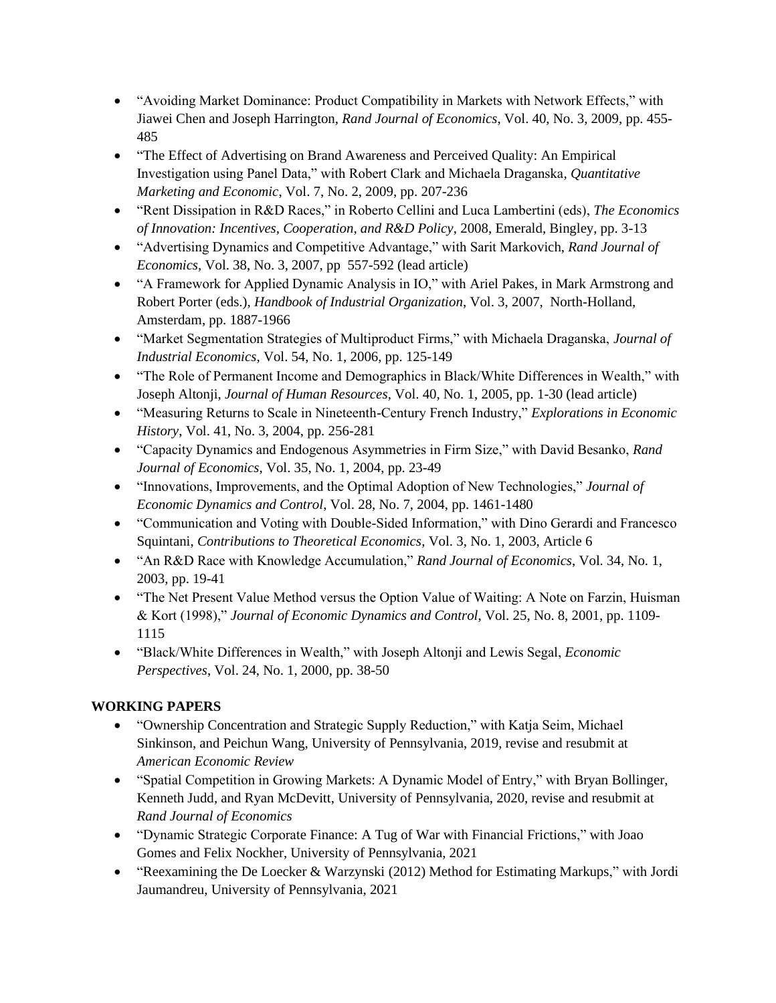- "Avoiding Market Dominance: Product Compatibility in Markets with Network Effects," with Jiawei Chen and Joseph Harrington, *Rand Journal of Economics*, Vol. 40, No. 3, 2009, pp. 455- 485
- "The Effect of Advertising on Brand Awareness and Perceived Quality: An Empirical Investigation using Panel Data," with Robert Clark and Michaela Draganska, *Quantitative Marketing and Economic*, Vol. 7, No. 2, 2009, pp. 207-236
- "Rent Dissipation in R&D Races," in Roberto Cellini and Luca Lambertini (eds), *The Economics of Innovation: Incentives, Cooperation, and R&D Policy*, 2008, Emerald, Bingley, pp. 3-13
- "Advertising Dynamics and Competitive Advantage," with Sarit Markovich, *Rand Journal of Economics,* Vol. 38, No. 3, 2007, pp 557-592 (lead article)
- "A Framework for Applied Dynamic Analysis in IO," with Ariel Pakes, in Mark Armstrong and Robert Porter (eds.), *Handbook of Industrial Organization*, Vol. 3, 2007, North-Holland, Amsterdam, pp. 1887-1966
- "Market Segmentation Strategies of Multiproduct Firms," with Michaela Draganska, *Journal of Industrial Economics*, Vol. 54, No. 1, 2006, pp. 125-149
- "The Role of Permanent Income and Demographics in Black/White Differences in Wealth," with Joseph Altonji, *Journal of Human Resources*, Vol. 40, No. 1, 2005, pp. 1-30 (lead article)
- "Measuring Returns to Scale in Nineteenth-Century French Industry," *Explorations in Economic History*, Vol. 41, No. 3, 2004, pp. 256-281
- "Capacity Dynamics and Endogenous Asymmetries in Firm Size," with David Besanko, *Rand Journal of Economics*, Vol. 35, No. 1, 2004, pp. 23-49
- "Innovations, Improvements, and the Optimal Adoption of New Technologies," *Journal of Economic Dynamics and Control*, Vol. 28, No. 7, 2004, pp. 1461-1480
- "Communication and Voting with Double-Sided Information," with Dino Gerardi and Francesco Squintani, *Contributions to Theoretical Economics*, Vol. 3, No. 1, 2003, Article 6
- "An R&D Race with Knowledge Accumulation," *Rand Journal of Economics*, Vol. 34, No. 1, 2003, pp. 19-41
- "The Net Present Value Method versus the Option Value of Waiting: A Note on Farzin, Huisman & Kort (1998)," *Journal of Economic Dynamics and Control*, Vol. 25, No. 8, 2001, pp. 1109- 1115
- "Black/White Differences in Wealth," with Joseph Altonji and Lewis Segal, *Economic Perspectives*, Vol. 24, No. 1, 2000, pp. 38-50

# **WORKING PAPERS**

- "Ownership Concentration and Strategic Supply Reduction," with Katja Seim, Michael Sinkinson, and Peichun Wang, University of Pennsylvania, 2019, revise and resubmit at *American Economic Review*
- "Spatial Competition in Growing Markets: A Dynamic Model of Entry," with Bryan Bollinger, Kenneth Judd, and Ryan McDevitt, University of Pennsylvania, 2020, revise and resubmit at *Rand Journal of Economics*
- "Dynamic Strategic Corporate Finance: A Tug of War with Financial Frictions," with Joao Gomes and Felix Nockher, University of Pennsylvania, 2021
- "Reexamining the De Loecker & Warzynski (2012) Method for Estimating Markups," with Jordi Jaumandreu, University of Pennsylvania, 2021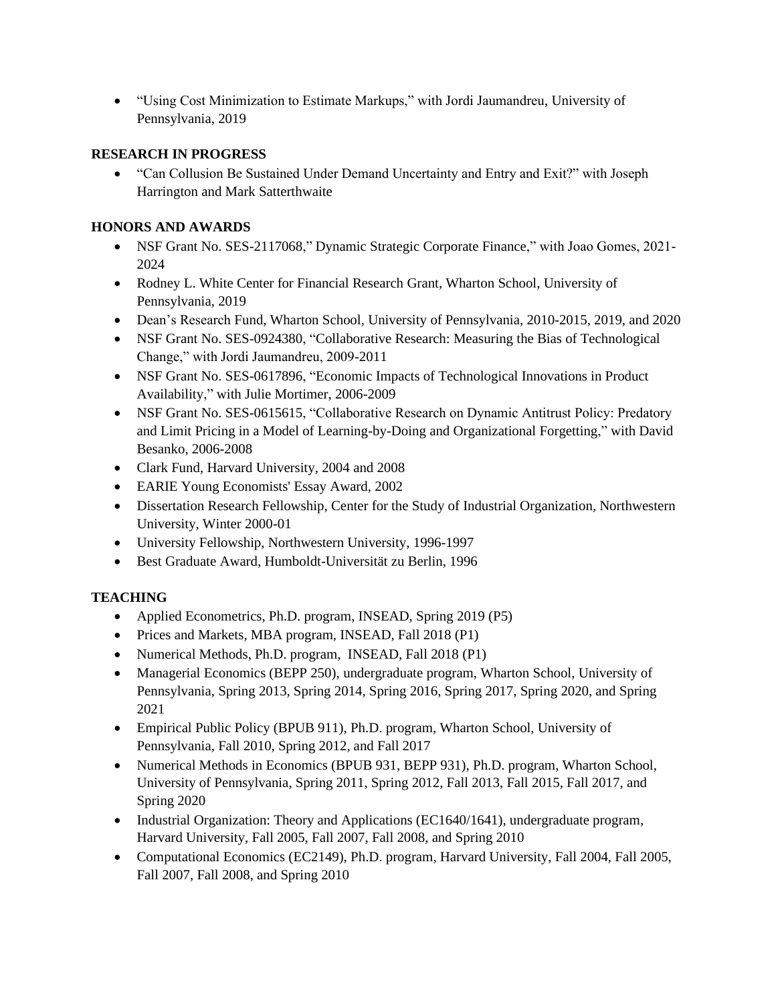• "Using Cost Minimization to Estimate Markups," with Jordi Jaumandreu, University of Pennsylvania, 2019

## **RESEARCH IN PROGRESS**

• "Can Collusion Be Sustained Under Demand Uncertainty and Entry and Exit?" with Joseph Harrington and Mark Satterthwaite

# **HONORS AND AWARDS**

- NSF Grant No. SES-2117068," Dynamic Strategic Corporate Finance," with Joao Gomes, 2021-2024
- Rodney L. White Center for Financial Research Grant, Wharton School, University of Pennsylvania, 2019
- Dean's Research Fund, Wharton School, University of Pennsylvania, 2010-2015, 2019, and 2020
- NSF Grant No. SES-0924380, "Collaborative Research: Measuring the Bias of Technological Change," with Jordi Jaumandreu, 2009-2011
- NSF Grant No. SES-0617896, "Economic Impacts of Technological Innovations in Product Availability," with Julie Mortimer, 2006-2009
- NSF Grant No. SES-0615615, "Collaborative Research on Dynamic Antitrust Policy: Predatory and Limit Pricing in a Model of Learning-by-Doing and Organizational Forgetting," with David Besanko, 2006-2008
- Clark Fund, Harvard University, 2004 and 2008
- EARIE Young Economists' Essay Award, 2002
- Dissertation Research Fellowship, Center for the Study of Industrial Organization, Northwestern University, Winter 2000-01
- University Fellowship, Northwestern University, 1996-1997
- Best Graduate Award, Humboldt-Universität zu Berlin, 1996

# **TEACHING**

- Applied Econometrics, Ph.D. program, INSEAD, Spring 2019 (P5)
- Prices and Markets, MBA program, INSEAD, Fall 2018 (P1)
- Numerical Methods, Ph.D. program, INSEAD, Fall 2018 (P1)
- Managerial Economics (BEPP 250), undergraduate program, Wharton School, University of Pennsylvania, Spring 2013, Spring 2014, Spring 2016, Spring 2017, Spring 2020, and Spring 2021
- Empirical Public Policy (BPUB 911), Ph.D. program, Wharton School, University of Pennsylvania, Fall 2010, Spring 2012, and Fall 2017
- Numerical Methods in Economics (BPUB 931, BEPP 931), Ph.D. program, Wharton School, University of Pennsylvania, Spring 2011, Spring 2012, Fall 2013, Fall 2015, Fall 2017, and Spring 2020
- Industrial Organization: Theory and Applications (EC1640/1641), undergraduate program, Harvard University, Fall 2005, Fall 2007, Fall 2008, and Spring 2010
- Computational Economics (EC2149), Ph.D. program, Harvard University, Fall 2004, Fall 2005, Fall 2007, Fall 2008, and Spring 2010